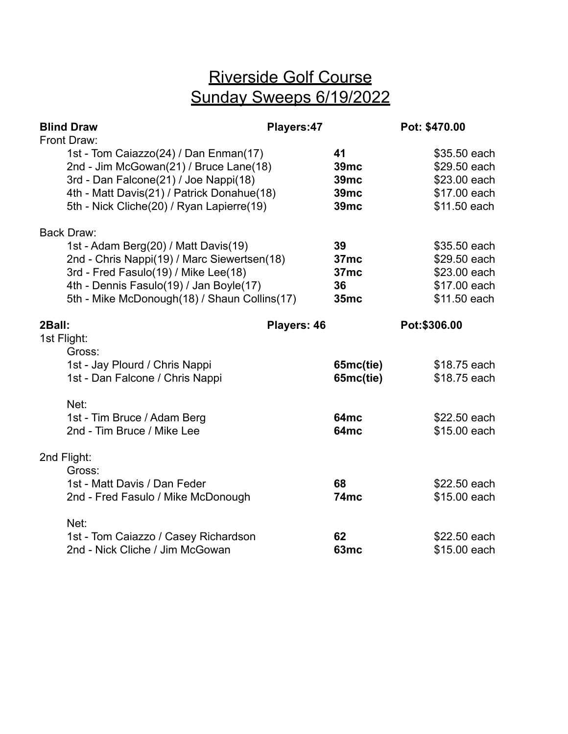## Riverside Golf Course Sunday Sweeps 6/19/2022

|                       | <b>Blind Draw</b><br>Front Draw:                                                                                                                                                                                       | Players: 47 |                                                                     | Pot: \$470.00 |                                                                              |
|-----------------------|------------------------------------------------------------------------------------------------------------------------------------------------------------------------------------------------------------------------|-------------|---------------------------------------------------------------------|---------------|------------------------------------------------------------------------------|
|                       | 1st - Tom Caiazzo(24) / Dan Enman(17)<br>2nd - Jim McGowan(21) / Bruce Lane(18)<br>3rd - Dan Falcone(21) / Joe Nappi(18)<br>4th - Matt Davis(21) / Patrick Donahue(18)<br>5th - Nick Cliche(20) / Ryan Lapierre(19)    |             | 41<br>39 <sub>mc</sub><br><b>39mc</b><br><b>39mc</b><br><b>39mc</b> |               | \$35.50 each<br>\$29.50 each<br>\$23.00 each<br>\$17.00 each<br>\$11.50 each |
|                       | <b>Back Draw:</b>                                                                                                                                                                                                      |             |                                                                     |               |                                                                              |
|                       | 1st - Adam Berg(20) / Matt Davis(19)<br>2nd - Chris Nappi(19) / Marc Siewertsen(18)<br>3rd - Fred Fasulo(19) / Mike Lee(18)<br>4th - Dennis Fasulo(19) / Jan Boyle(17)<br>5th - Mike McDonough(18) / Shaun Collins(17) |             | 39<br>37 <sub>mc</sub><br>37mc<br>36<br>35mc                        |               | \$35.50 each<br>\$29.50 each<br>\$23.00 each<br>\$17.00 each<br>\$11.50 each |
| 2Ball:<br>1st Flight: |                                                                                                                                                                                                                        | Players: 46 |                                                                     | Pot:\$306.00  |                                                                              |
|                       | Gross:<br>1st - Jay Plourd / Chris Nappi<br>1st - Dan Falcone / Chris Nappi                                                                                                                                            |             | 65mc(tie)<br>65mc(tie)                                              |               | \$18.75 each<br>\$18.75 each                                                 |
|                       | Net:<br>1st - Tim Bruce / Adam Berg<br>2nd - Tim Bruce / Mike Lee                                                                                                                                                      |             | 64 <sub>mc</sub><br>64 <sub>mc</sub>                                |               | \$22.50 each<br>\$15.00 each                                                 |
| 2nd Flight:           | Gross:                                                                                                                                                                                                                 |             |                                                                     |               |                                                                              |
|                       | 1st - Matt Davis / Dan Feder<br>2nd - Fred Fasulo / Mike McDonough                                                                                                                                                     |             | 68<br>74mc                                                          |               | \$22.50 each<br>\$15.00 each                                                 |
|                       | Net:<br>1st - Tom Caiazzo / Casey Richardson                                                                                                                                                                           |             | 62                                                                  |               | \$22.50 each                                                                 |
|                       | 2nd - Nick Cliche / Jim McGowan                                                                                                                                                                                        |             | 63mc                                                                |               | \$15.00 each                                                                 |